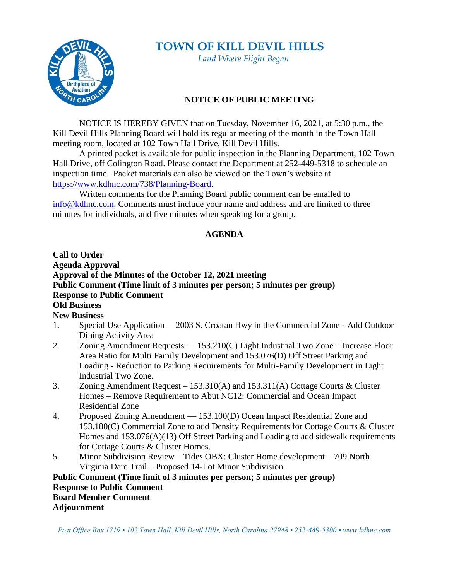## **TOWN OF KILL DEVIL HILLS**



 *Land Where Flight Began*

## **NOTICE OF PUBLIC MEETING**

NOTICE IS HEREBY GIVEN that on Tuesday, November 16, 2021, at 5:30 p.m., the Kill Devil Hills Planning Board will hold its regular meeting of the month in the Town Hall meeting room, located at 102 Town Hall Drive, Kill Devil Hills.

A printed packet is available for public inspection in the Planning Department, 102 Town Hall Drive, off Colington Road. Please contact the Department at 252-449-5318 to schedule an inspection time. Packet materials can also be viewed on the Town's website at [https://www.kdhnc.com/738/Planning-Board.](https://www.kdhnc.com/738/Planning-Board)

Written comments for the Planning Board public comment can be emailed to [info@kdhnc.com.](mailto:info@kdhnc.com) Comments must include your name and address and are limited to three minutes for individuals, and five minutes when speaking for a group.

## **AGENDA**

## **Call to Order Agenda Approval Approval of the Minutes of the October 12, 2021 meeting Public Comment (Time limit of 3 minutes per person; 5 minutes per group) Response to Public Comment Old Business New Business**

- 1. Special Use Application —2003 S. Croatan Hwy in the Commercial Zone Add Outdoor Dining Activity Area
- 2. Zoning Amendment Requests 153.210(C) Light Industrial Two Zone Increase Floor Area Ratio for Multi Family Development and 153.076(D) Off Street Parking and Loading - Reduction to Parking Requirements for Multi-Family Development in Light Industrial Two Zone.
- 3. Zoning Amendment Request 153.310(A) and 153.311(A) Cottage Courts & Cluster Homes – Remove Requirement to Abut NC12: Commercial and Ocean Impact Residential Zone
- 4. Proposed Zoning Amendment 153.100(D) Ocean Impact Residential Zone and 153.180(C) Commercial Zone to add Density Requirements for Cottage Courts & Cluster Homes and 153.076(A)(13) Off Street Parking and Loading to add sidewalk requirements for Cottage Courts & Cluster Homes.
- 5. Minor Subdivision Review Tides OBX: Cluster Home development 709 North Virginia Dare Trail – Proposed 14-Lot Minor Subdivision

**Public Comment (Time limit of 3 minutes per person; 5 minutes per group) Response to Public Comment Board Member Comment Adjournment**